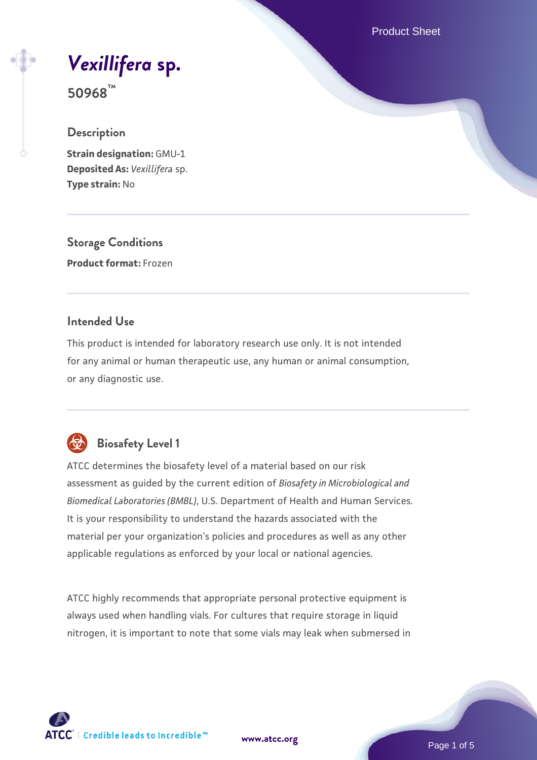Product Sheet

# *[Vexillifera](https://www.atcc.org/products/50968)* **[sp.](https://www.atcc.org/products/50968)**

**50968™**

# **Description**

**Strain designation:** GMU-1 **Deposited As:** *Vexillifera* sp. **Type strain:** No

**Storage Conditions Product format:** Frozen

## **Intended Use**

This product is intended for laboratory research use only. It is not intended for any animal or human therapeutic use, any human or animal consumption, or any diagnostic use.



# **Biosafety Level 1**

ATCC determines the biosafety level of a material based on our risk assessment as guided by the current edition of *Biosafety in Microbiological and Biomedical Laboratories (BMBL)*, U.S. Department of Health and Human Services. It is your responsibility to understand the hazards associated with the material per your organization's policies and procedures as well as any other applicable regulations as enforced by your local or national agencies.

ATCC highly recommends that appropriate personal protective equipment is always used when handling vials. For cultures that require storage in liquid nitrogen, it is important to note that some vials may leak when submersed in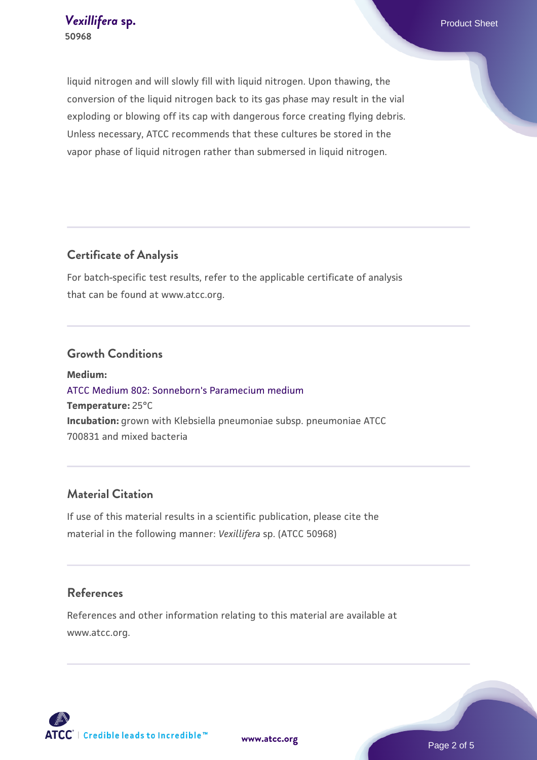liquid nitrogen and will slowly fill with liquid nitrogen. Upon thawing, the conversion of the liquid nitrogen back to its gas phase may result in the vial exploding or blowing off its cap with dangerous force creating flying debris. Unless necessary, ATCC recommends that these cultures be stored in the vapor phase of liquid nitrogen rather than submersed in liquid nitrogen.

## **Certificate of Analysis**

For batch-specific test results, refer to the applicable certificate of analysis that can be found at www.atcc.org.

#### **Growth Conditions**

**Medium:**  [ATCC Medium 802: Sonneborn's Paramecium medium](https://www.atcc.org/-/media/product-assets/documents/microbial-media-formulations/8/0/2/atcc-medium-802.pdf?rev=73d25dbdd49b44529c8ac49753787d74) **Temperature:** 25°C **Incubation:** grown with Klebsiella pneumoniae subsp. pneumoniae ATCC 700831 and mixed bacteria

#### **Material Citation**

If use of this material results in a scientific publication, please cite the material in the following manner: *Vexillifera* sp. (ATCC 50968)

#### **References**

References and other information relating to this material are available at www.atcc.org.



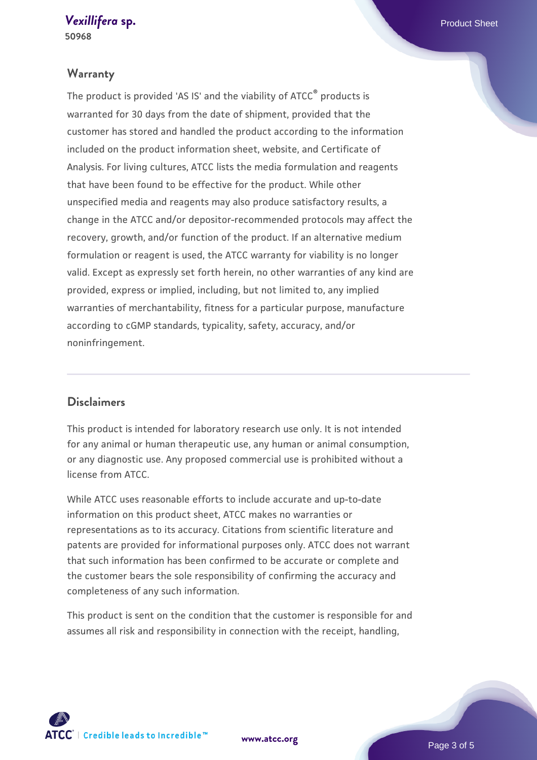#### **Warranty**

The product is provided 'AS IS' and the viability of ATCC® products is warranted for 30 days from the date of shipment, provided that the customer has stored and handled the product according to the information included on the product information sheet, website, and Certificate of Analysis. For living cultures, ATCC lists the media formulation and reagents that have been found to be effective for the product. While other unspecified media and reagents may also produce satisfactory results, a change in the ATCC and/or depositor-recommended protocols may affect the recovery, growth, and/or function of the product. If an alternative medium formulation or reagent is used, the ATCC warranty for viability is no longer valid. Except as expressly set forth herein, no other warranties of any kind are provided, express or implied, including, but not limited to, any implied warranties of merchantability, fitness for a particular purpose, manufacture according to cGMP standards, typicality, safety, accuracy, and/or noninfringement.

#### **Disclaimers**

This product is intended for laboratory research use only. It is not intended for any animal or human therapeutic use, any human or animal consumption, or any diagnostic use. Any proposed commercial use is prohibited without a license from ATCC.

While ATCC uses reasonable efforts to include accurate and up-to-date information on this product sheet, ATCC makes no warranties or representations as to its accuracy. Citations from scientific literature and patents are provided for informational purposes only. ATCC does not warrant that such information has been confirmed to be accurate or complete and the customer bears the sole responsibility of confirming the accuracy and completeness of any such information.

This product is sent on the condition that the customer is responsible for and assumes all risk and responsibility in connection with the receipt, handling,



**[www.atcc.org](http://www.atcc.org)**

Page 3 of 5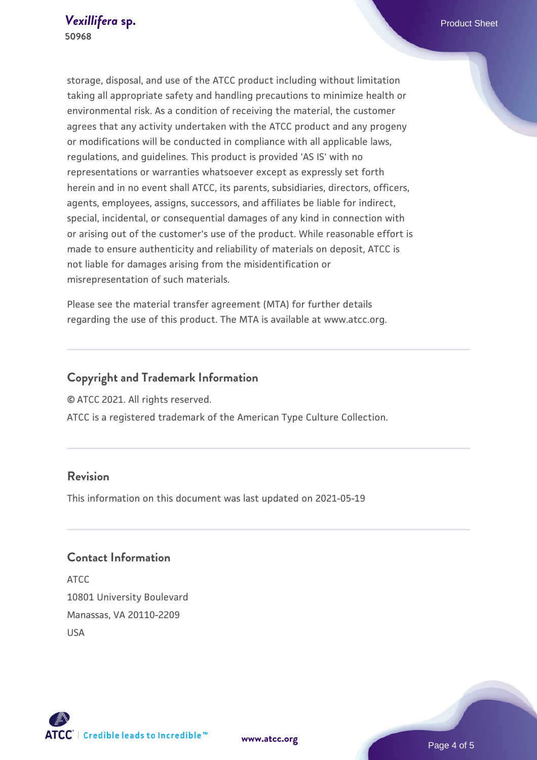storage, disposal, and use of the ATCC product including without limitation taking all appropriate safety and handling precautions to minimize health or environmental risk. As a condition of receiving the material, the customer agrees that any activity undertaken with the ATCC product and any progeny or modifications will be conducted in compliance with all applicable laws, regulations, and guidelines. This product is provided 'AS IS' with no representations or warranties whatsoever except as expressly set forth herein and in no event shall ATCC, its parents, subsidiaries, directors, officers, agents, employees, assigns, successors, and affiliates be liable for indirect, special, incidental, or consequential damages of any kind in connection with or arising out of the customer's use of the product. While reasonable effort is made to ensure authenticity and reliability of materials on deposit, ATCC is not liable for damages arising from the misidentification or misrepresentation of such materials.

Please see the material transfer agreement (MTA) for further details regarding the use of this product. The MTA is available at www.atcc.org.

## **Copyright and Trademark Information**

© ATCC 2021. All rights reserved.

ATCC is a registered trademark of the American Type Culture Collection.

#### **Revision**

This information on this document was last updated on 2021-05-19

# **Contact Information**

ATCC 10801 University Boulevard Manassas, VA 20110-2209 USA